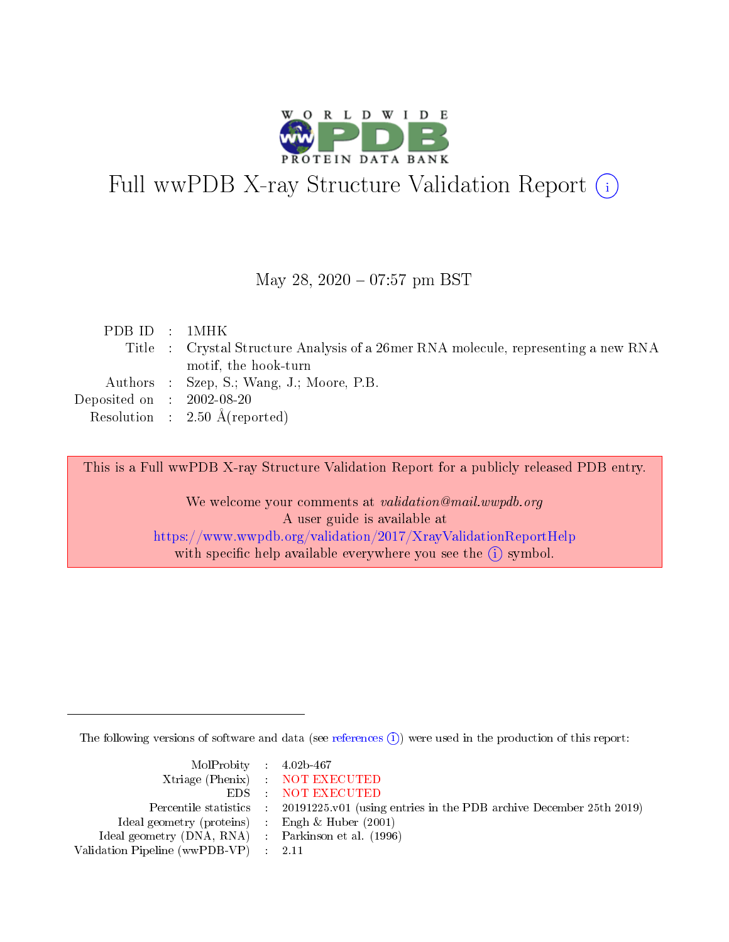

# Full wwPDB X-ray Structure Validation Report (i)

#### May 28, 2020 - 07:57 pm BST

| PDBID : 1MHK                         |                                                                                     |
|--------------------------------------|-------------------------------------------------------------------------------------|
|                                      | Title : Crystal Structure Analysis of a 26 mer RNA molecule, representing a new RNA |
|                                      | motif, the hook-turn                                                                |
|                                      | Authors : Szep, S.; Wang, J.; Moore, P.B.                                           |
| Deposited on $\therefore$ 2002-08-20 |                                                                                     |
|                                      | Resolution : $2.50 \text{ Å}$ (reported)                                            |
|                                      |                                                                                     |

This is a Full wwPDB X-ray Structure Validation Report for a publicly released PDB entry.

We welcome your comments at validation@mail.wwpdb.org A user guide is available at <https://www.wwpdb.org/validation/2017/XrayValidationReportHelp> with specific help available everywhere you see the  $(i)$  symbol.

The following versions of software and data (see [references](https://www.wwpdb.org/validation/2017/XrayValidationReportHelp#references)  $\overline{(1)}$ ) were used in the production of this report:

| $MolProbability$ 4.02b-467                          |                                                                    |
|-----------------------------------------------------|--------------------------------------------------------------------|
|                                                     | Xtriage (Phenix) NOT EXECUTED                                      |
|                                                     | EDS : NOT EXECUTED                                                 |
| Percentile statistics :                             | 20191225.v01 (using entries in the PDB archive December 25th 2019) |
| Ideal geometry (proteins) :                         | Engh $\&$ Huber (2001)                                             |
| Ideal geometry (DNA, RNA) : Parkinson et al. (1996) |                                                                    |
| Validation Pipeline (wwPDB-VP) : 2.11               |                                                                    |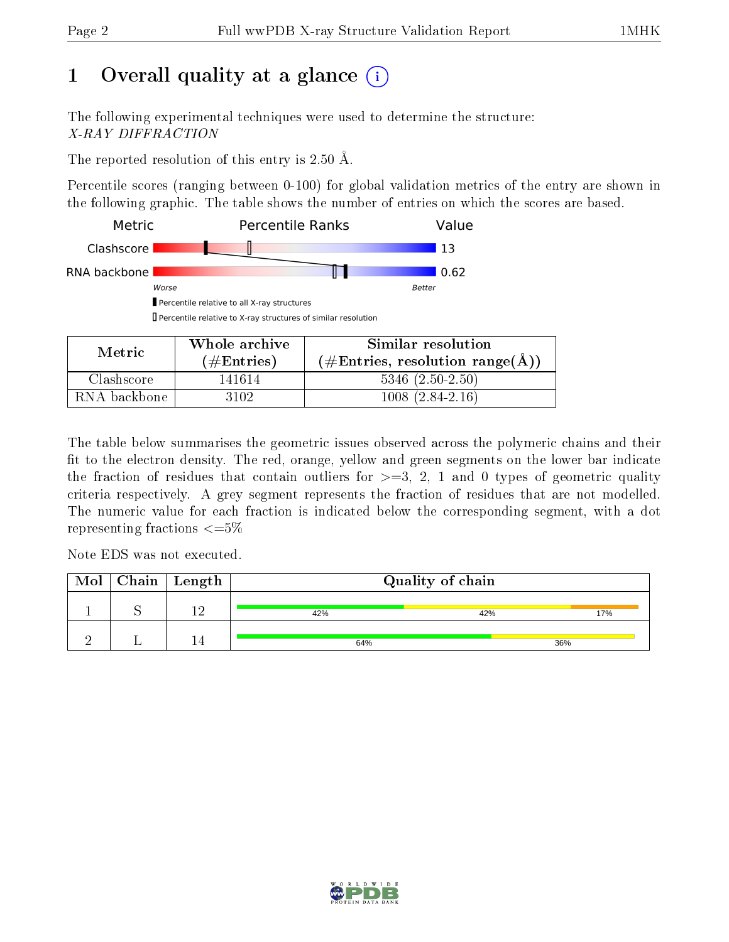# 1 [O](https://www.wwpdb.org/validation/2017/XrayValidationReportHelp#overall_quality)verall quality at a glance  $(i)$

The following experimental techniques were used to determine the structure: X-RAY DIFFRACTION

The reported resolution of this entry is 2.50 Å.

Percentile scores (ranging between 0-100) for global validation metrics of the entry are shown in the following graphic. The table shows the number of entries on which the scores are based.



| Metric.      | Whole archive | Similar resolution                                                |  |  |  |  |
|--------------|---------------|-------------------------------------------------------------------|--|--|--|--|
|              | $(\#Entries)$ | $(\# \text{Entries}, \text{ resolution } \text{range}(\text{A}))$ |  |  |  |  |
| Clashscore   | 141614        | $5346(2.50-2.50)$                                                 |  |  |  |  |
| RNA backbone | 3102          | $1008(2.84-2.16)$                                                 |  |  |  |  |

The table below summarises the geometric issues observed across the polymeric chains and their fit to the electron density. The red, orange, yellow and green segments on the lower bar indicate the fraction of residues that contain outliers for  $\geq=3$ , 2, 1 and 0 types of geometric quality criteria respectively. A grey segment represents the fraction of residues that are not modelled. The numeric value for each fraction is indicated below the corresponding segment, with a dot representing fractions  $\epsilon = 5\%$ 

Note EDS was not executed.

| Mol | $\blacksquare$ Chain $\parallel$ Length $\parallel$ |     | Quality of chain |     |
|-----|-----------------------------------------------------|-----|------------------|-----|
|     | - 67                                                | 42% | 42%              | 17% |
|     |                                                     | 64% |                  | 36% |

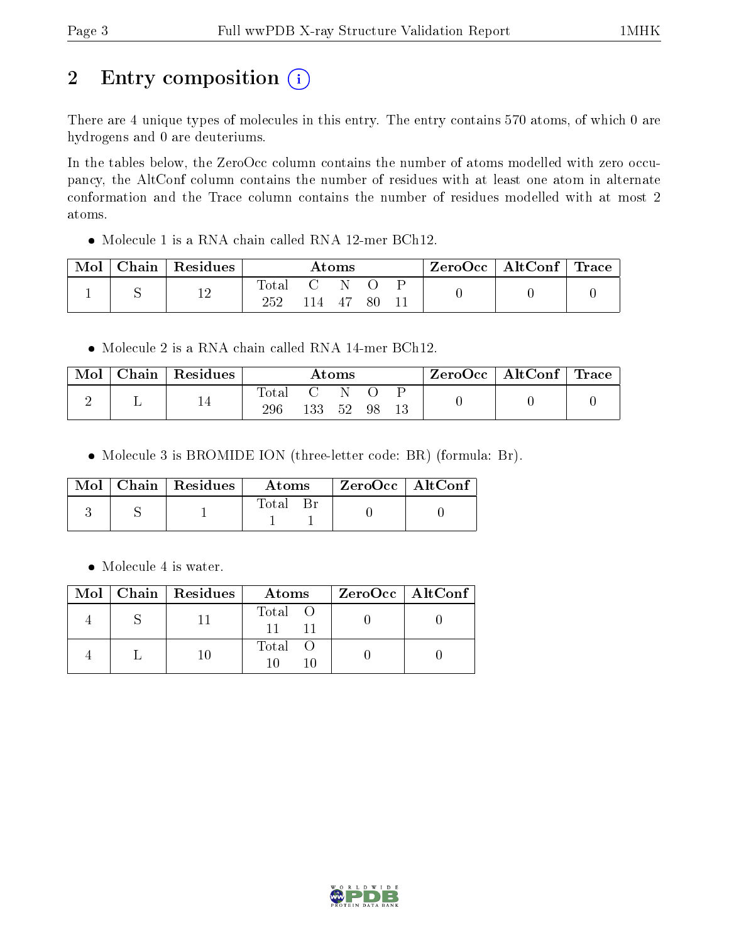# 2 Entry composition (i)

There are 4 unique types of molecules in this entry. The entry contains 570 atoms, of which 0 are hydrogens and 0 are deuteriums.

In the tables below, the ZeroOcc column contains the number of atoms modelled with zero occupancy, the AltConf column contains the number of residues with at least one atom in alternate conformation and the Trace column contains the number of residues modelled with at most 2 atoms.

Molecule 1 is a RNA chain called RNA 12-mer BCh12.

| Mol | Chain | Residues  | Atoms       |              |     | $\text{ZeroOcc}$   AltConf   Trace |  |  |
|-----|-------|-----------|-------------|--------------|-----|------------------------------------|--|--|
|     |       | 1 ຕ<br>⊥∠ | $\rm Total$ | $\mathbf{C}$ | - N |                                    |  |  |
|     |       |           |             | 14           | -47 |                                    |  |  |

Molecule 2 is a RNA chain called RNA 14-mer BCh12.

| Mol | $\pm$ Chain $^+$ | $\perp$ Residues | $\rm{Atoms}$ |     |    | ZeroOcc∣ | $\mid$ AltConf $\mid$ Trace |  |  |  |
|-----|------------------|------------------|--------------|-----|----|----------|-----------------------------|--|--|--|
|     |                  | 14               | Fotal<br>296 | 133 | 52 | 98       |                             |  |  |  |

• Molecule 3 is BROMIDE ION (three-letter code: BR) (formula: Br).

|  | $\text{Mol}$   Chain   Residues | <b>Atoms</b> | $ZeroOcc \   \ AltConf$ |
|--|---------------------------------|--------------|-------------------------|
|  |                                 | Total        |                         |

• Molecule 4 is water.

|  | $Mol$   Chain   Residues | Atoms   | $ZeroOcc$   AltConf |
|--|--------------------------|---------|---------------------|
|  |                          | Total O |                     |
|  |                          | Total   |                     |

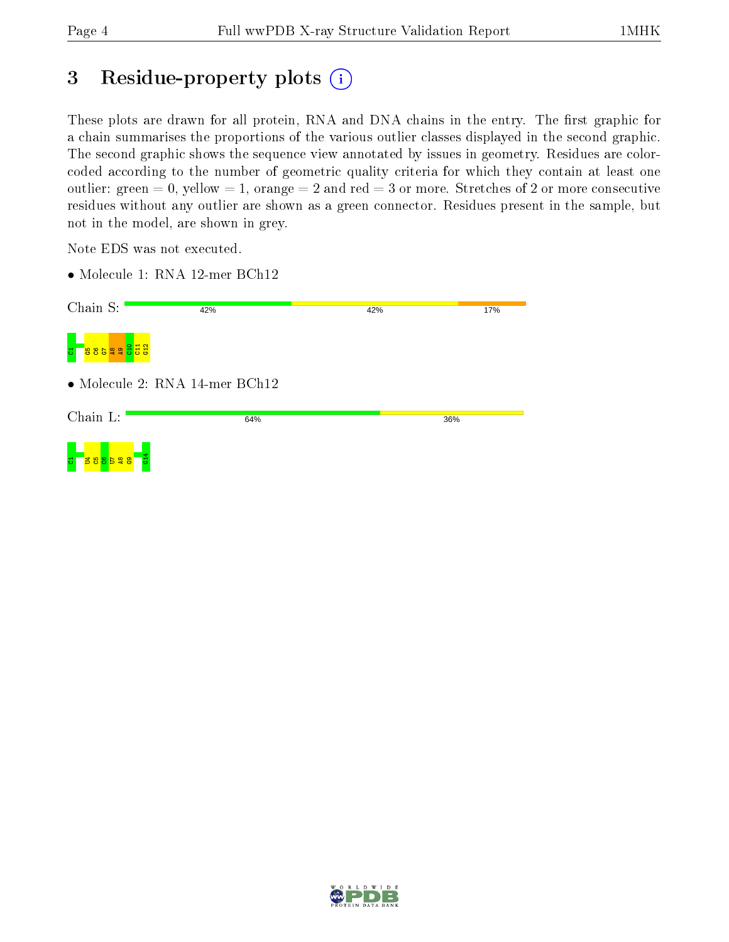## 3 Residue-property plots (i)

These plots are drawn for all protein, RNA and DNA chains in the entry. The first graphic for a chain summarises the proportions of the various outlier classes displayed in the second graphic. The second graphic shows the sequence view annotated by issues in geometry. Residues are colorcoded according to the number of geometric quality criteria for which they contain at least one outlier: green  $= 0$ , yellow  $= 1$ , orange  $= 2$  and red  $= 3$  or more. Stretches of 2 or more consecutive residues without any outlier are shown as a green connector. Residues present in the sample, but not in the model, are shown in grey.

Note EDS was not executed.

• Molecule 1: RNA 12-mer BCh12

| Chain S:                                         | 42%                            | 42% | 17% |
|--------------------------------------------------|--------------------------------|-----|-----|
| $\frac{11}{9}$<br>ដូននូ <mark>នទី ខេ</mark><br>퓽 |                                |     |     |
|                                                  | • Molecule 2: RNA 14-mer BCh12 |     |     |
| Chain L:                                         | 64%                            | 36% |     |
| <mark>នន ។ ខ ន ន </mark><br>퓽<br>Ξ               |                                |     |     |

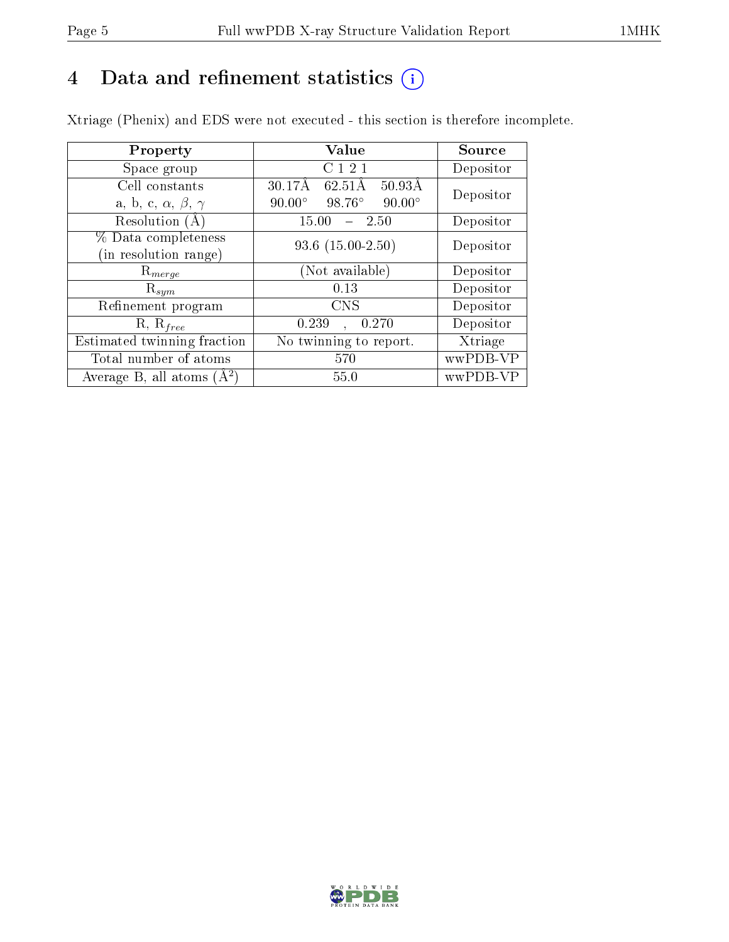# 4 Data and refinement statistics  $(i)$

Xtriage (Phenix) and EDS were not executed - this section is therefore incomplete.

| Property                               | Value                                                       | Source    |  |
|----------------------------------------|-------------------------------------------------------------|-----------|--|
| Space group                            | C121                                                        | Depositor |  |
| Cell constants                         | $30.17\text{\AA}$<br>$50.93\text{\AA}$<br>$62.51\text{\AA}$ | Depositor |  |
| a, b, c, $\alpha$ , $\beta$ , $\gamma$ | $90.00^\circ$<br>$98.76^\circ$<br>$90.00^\circ$             |           |  |
| Resolution $(A)$                       | 2.50<br>15.00                                               | Depositor |  |
| % Data completeness                    | $93.6$ $(15.00-2.50)$                                       | Depositor |  |
| (in resolution range)                  |                                                             |           |  |
| $\mathrm{R}_{merge}$                   | (Not available)                                             | Depositor |  |
| $\mathrm{R}_{sym}$                     | 0.13                                                        | Depositor |  |
| Refinement program                     | <b>CNS</b>                                                  | Depositor |  |
| $R, R_{free}$                          | 0.239<br>0.270<br>$\ddot{\phantom{a}}$                      | Depositor |  |
| Estimated twinning fraction            | No twinning to report.                                      | Xtriage   |  |
| Total number of atoms                  | 570                                                         | wwPDB-VP  |  |
| Average B, all atoms $(A^2)$           | 55.0                                                        | wwPDB-VP  |  |

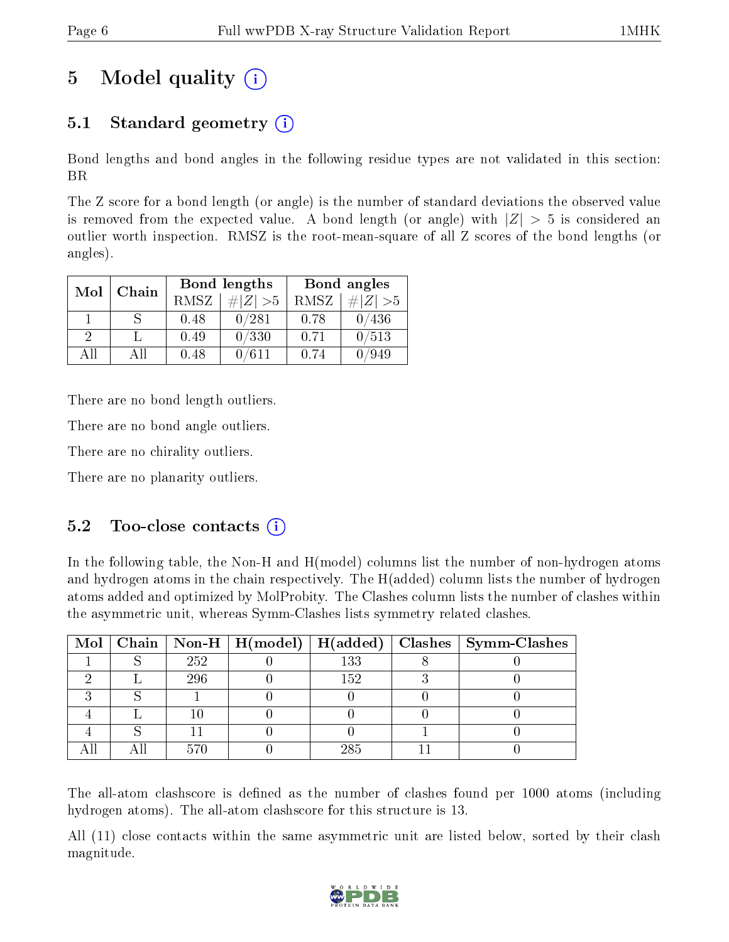# 5 Model quality  $(i)$

### 5.1 Standard geometry  $(i)$

Bond lengths and bond angles in the following residue types are not validated in this section: BR

The Z score for a bond length (or angle) is the number of standard deviations the observed value is removed from the expected value. A bond length (or angle) with  $|Z| > 5$  is considered an outlier worth inspection. RMSZ is the root-mean-square of all Z scores of the bond lengths (or angles).

| Mol | Chain |      | <b>Bond lengths</b> | Bond angles |             |  |
|-----|-------|------|---------------------|-------------|-------------|--|
|     |       | RMSZ | $\# Z  > 5$         | RMSZ        | $\# Z  > 5$ |  |
|     |       | 0.48 | 0/281               | 0.78        | 0/436       |  |
| 9   |       | 0.49 | 0/330               | 0.71        | 0/513       |  |
| ΔH  | A 11  | 0.48 | 0/611               | 0.74        | 949         |  |

There are no bond length outliers.

There are no bond angle outliers.

There are no chirality outliers.

There are no planarity outliers.

#### $5.2$  Too-close contacts  $(i)$

In the following table, the Non-H and H(model) columns list the number of non-hydrogen atoms and hydrogen atoms in the chain respectively. The H(added) column lists the number of hydrogen atoms added and optimized by MolProbity. The Clashes column lists the number of clashes within the asymmetric unit, whereas Symm-Clashes lists symmetry related clashes.

|  |     |     | Mol   Chain   Non-H   H(model)   H(added)   Clashes   Symm-Clashes |
|--|-----|-----|--------------------------------------------------------------------|
|  | 252 | 133 |                                                                    |
|  | 296 | 152 |                                                                    |
|  |     |     |                                                                    |
|  |     |     |                                                                    |
|  |     |     |                                                                    |
|  |     | 285 |                                                                    |

The all-atom clashscore is defined as the number of clashes found per 1000 atoms (including hydrogen atoms). The all-atom clashscore for this structure is 13.

All (11) close contacts within the same asymmetric unit are listed below, sorted by their clash magnitude.

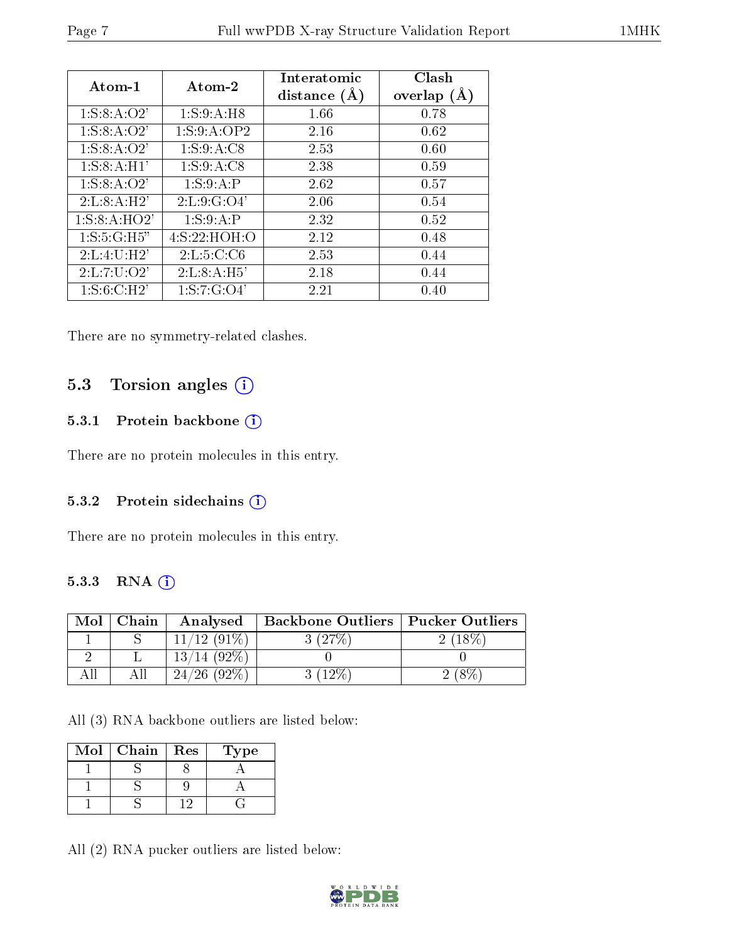| $Atom-1$         | Atom-2          | Interatomic<br>distance $(A)$ | Clash<br>overlap $(A)$ |
|------------------|-----------------|-------------------------------|------------------------|
| 1: S: 8: A: O2'  | 1: S:9:A:H8     | 1.66                          | 0.78                   |
| 1: S: 8: A: O2'  | 1: S: 9: A: OP2 | 2.16                          | 0.62                   |
| 1: S: 8: A: O2'  | 1: S: 9: A: C8  | 2.53                          | 0.60                   |
| 1: S: 8: A: H1'  | 1: S:9:A:CS     | 2.38                          | 0.59                   |
| 1: S: 8: A: O2'  | 1: S:9:A:P      | 2.62                          | 0.57                   |
| 2: L: 8: A: H2'  | 2: L: 9: G: O4' | 2.06                          | 0.54                   |
| 1: S: 8: A: HO2' | 1: S:9:A:P      | 2.32                          | 0.52                   |
| 1: S: 5: G:H5"   | 4: S: 22: HOH:O | 2.12                          | 0.48                   |
| 2:L:4:U:H2'      | 2: L: 5: C: C6  | 2.53                          | 0.44                   |
| 2: L: 7: U: O2'  | 2: L: 8: A: H5' | 2.18                          | 0.44                   |
| 1: S: 6: C:H2'   | 1: S: 7: G: O4' | 2.21                          | 0.40                   |

There are no symmetry-related clashes.

### 5.3 Torsion angles (i)

#### 5.3.1 Protein backbone (i)

There are no protein molecules in this entry.

#### 5.3.2 Protein sidechains (i)

There are no protein molecules in this entry.

#### 5.3.3 RNA (i)

| Mol | Chain | Analysed       | <b>Backbone Outliers   Pucker Outliers</b> |  |
|-----|-------|----------------|--------------------------------------------|--|
|     |       | $11/12$ (91\%) | $(27\%$                                    |  |
|     |       | $13/14(92\%)$  |                                            |  |
|     |       | $24/26$ (92\%) | $^{\prime}12\%$ .                          |  |

All (3) RNA backbone outliers are listed below:

| Mol | Chain | Res | ype |
|-----|-------|-----|-----|
|     |       |     |     |
|     |       |     |     |
|     |       |     |     |

All (2) RNA pucker outliers are listed below:

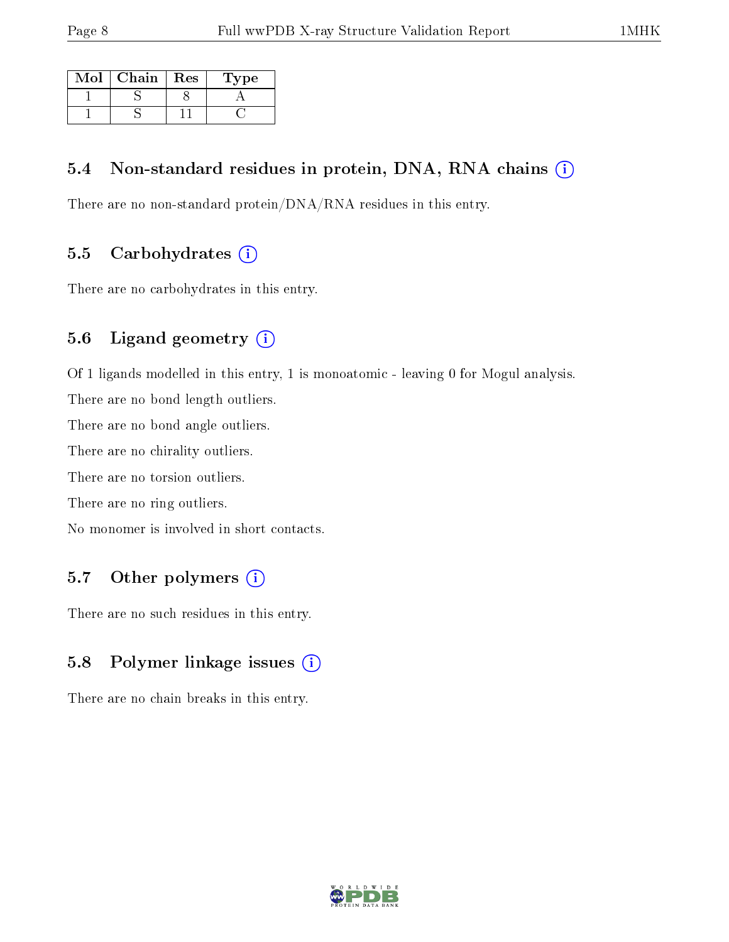| Mol | Chain | $\operatorname{Res}$ | Type |
|-----|-------|----------------------|------|
|     |       |                      |      |
|     |       |                      |      |

#### 5.4 Non-standard residues in protein, DNA, RNA chains (i)

There are no non-standard protein/DNA/RNA residues in this entry.

#### 5.5 Carbohydrates  $(i)$

There are no carbohydrates in this entry.

### 5.6 Ligand geometry (i)

Of 1 ligands modelled in this entry, 1 is monoatomic - leaving 0 for Mogul analysis.

There are no bond length outliers.

There are no bond angle outliers.

There are no chirality outliers.

There are no torsion outliers.

There are no ring outliers.

No monomer is involved in short contacts.

#### 5.7 [O](https://www.wwpdb.org/validation/2017/XrayValidationReportHelp#nonstandard_residues_and_ligands)ther polymers (i)

There are no such residues in this entry.

### 5.8 Polymer linkage issues (i)

There are no chain breaks in this entry.